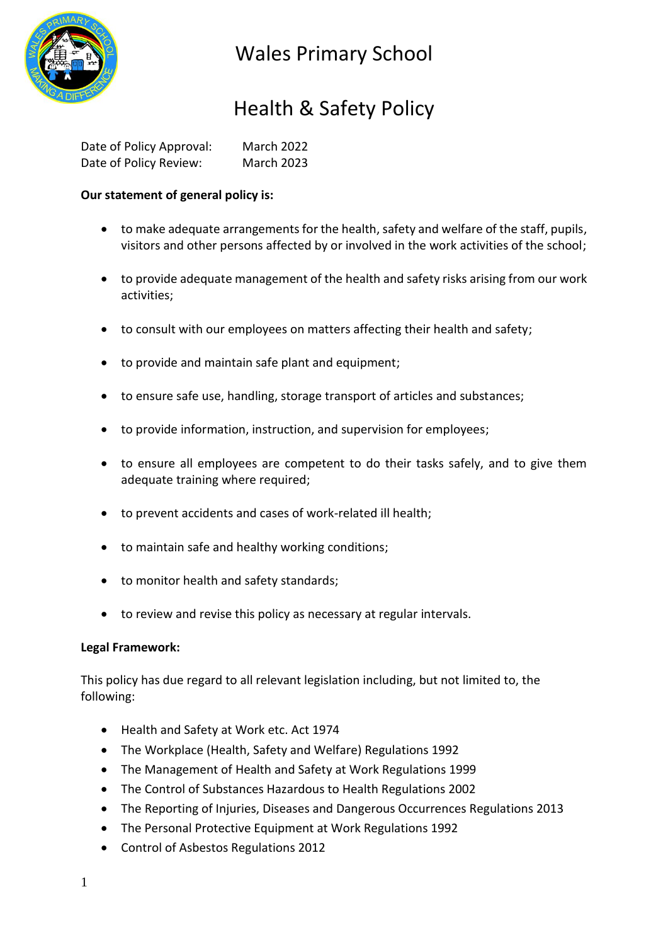

### Health & Safety Policy

| Date of Policy Approval: | <b>March 2022</b> |
|--------------------------|-------------------|
| Date of Policy Review:   | <b>March 2023</b> |

### **Our statement of general policy is:**

- to make adequate arrangements for the health, safety and welfare of the staff, pupils, visitors and other persons affected by or involved in the work activities of the school;
- to provide adequate management of the health and safety risks arising from our work activities;
- to consult with our employees on matters affecting their health and safety;
- to provide and maintain safe plant and equipment;
- to ensure safe use, handling, storage transport of articles and substances;
- to provide information, instruction, and supervision for employees;
- to ensure all employees are competent to do their tasks safely, and to give them adequate training where required;
- to prevent accidents and cases of work-related ill health;
- to maintain safe and healthy working conditions;
- to monitor health and safety standards;
- to review and revise this policy as necessary at regular intervals.

### **Legal Framework:**

This policy has due regard to all relevant legislation including, but not limited to, the following:

- Health and Safety at Work etc. Act 1974
- The Workplace (Health, Safety and Welfare) Regulations 1992
- The Management of Health and Safety at Work Regulations 1999
- The Control of Substances Hazardous to Health Regulations 2002
- The Reporting of Injuries, Diseases and Dangerous Occurrences Regulations 2013
- The Personal Protective Equipment at Work Regulations 1992
- Control of Asbestos Regulations 2012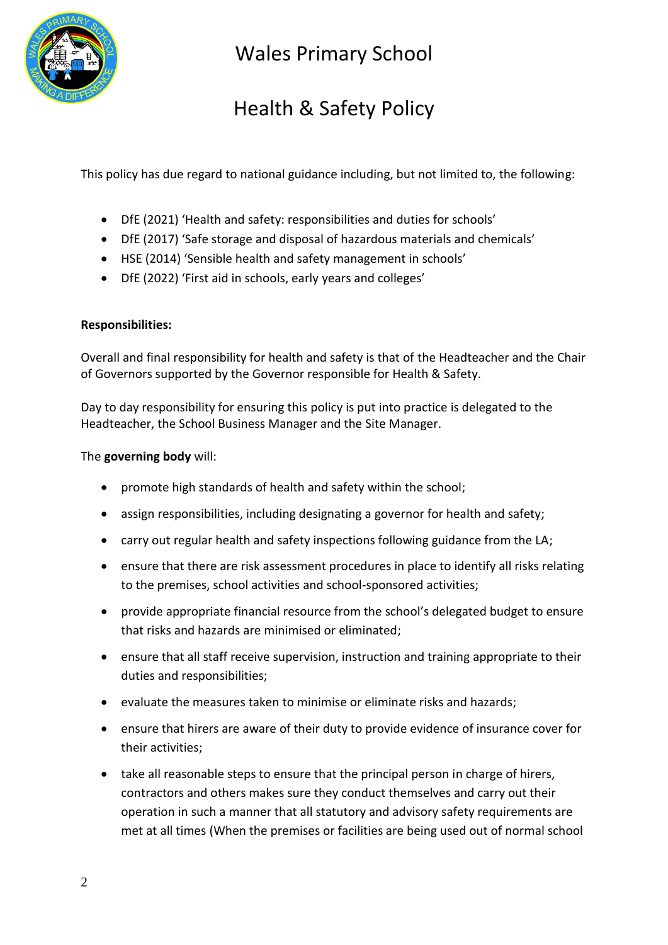

# Health & Safety Policy

This policy has due regard to national guidance including, but not limited to, the following:

- DfE (2021) 'Health and safety: responsibilities and duties for schools'
- DfE (2017) 'Safe storage and disposal of hazardous materials and chemicals'
- HSE (2014) 'Sensible health and safety management in schools'
- DfE (2022) 'First aid in schools, early years and colleges'

#### **Responsibilities:**

Overall and final responsibility for health and safety is that of the Headteacher and the Chair of Governors supported by the Governor responsible for Health & Safety.

Day to day responsibility for ensuring this policy is put into practice is delegated to the Headteacher, the School Business Manager and the Site Manager.

#### The **governing body** will:

- promote high standards of health and safety within the school;
- assign responsibilities, including designating a governor for health and safety;
- carry out regular health and safety inspections following guidance from the LA;
- ensure that there are risk assessment procedures in place to identify all risks relating to the premises, school activities and school-sponsored activities;
- provide appropriate financial resource from the school's delegated budget to ensure that risks and hazards are minimised or eliminated;
- ensure that all staff receive supervision, instruction and training appropriate to their duties and responsibilities;
- evaluate the measures taken to minimise or eliminate risks and hazards;
- ensure that hirers are aware of their duty to provide evidence of insurance cover for their activities;
- take all reasonable steps to ensure that the principal person in charge of hirers, contractors and others makes sure they conduct themselves and carry out their operation in such a manner that all statutory and advisory safety requirements are met at all times (When the premises or facilities are being used out of normal school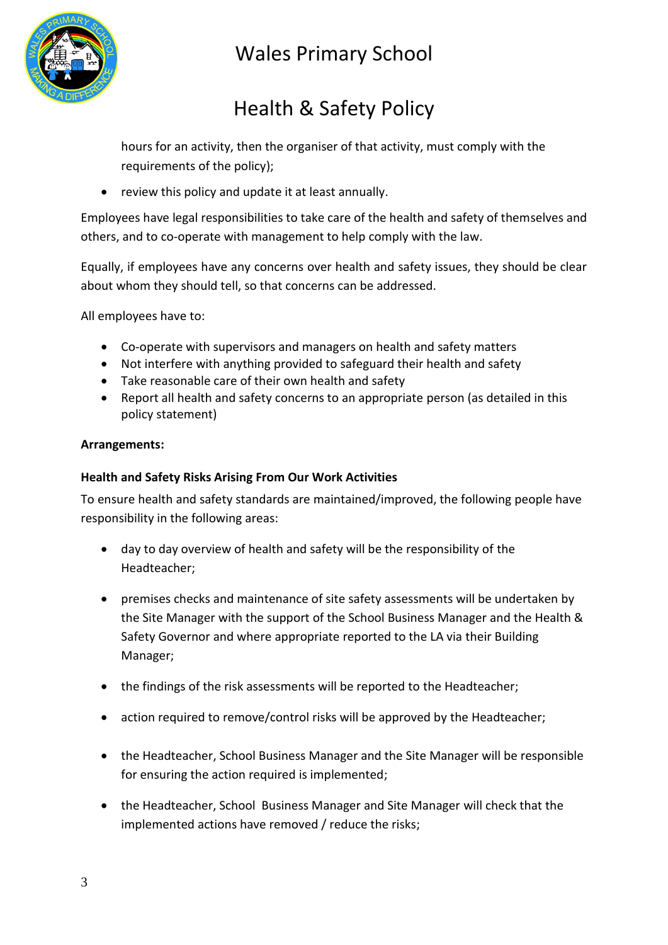

# Health & Safety Policy

hours for an activity, then the organiser of that activity, must comply with the requirements of the policy);

• review this policy and update it at least annually.

Employees have legal responsibilities to take care of the health and safety of themselves and others, and to co-operate with management to help comply with the law.

Equally, if employees have any concerns over health and safety issues, they should be clear about whom they should tell, so that concerns can be addressed.

All employees have to:

- Co-operate with supervisors and managers on health and safety matters
- Not interfere with anything provided to safeguard their health and safety
- Take reasonable care of their own health and safety
- Report all health and safety concerns to an appropriate person (as detailed in this policy statement)

### **Arrangements:**

### **Health and Safety Risks Arising From Our Work Activities**

To ensure health and safety standards are maintained/improved, the following people have responsibility in the following areas:

- day to day overview of health and safety will be the responsibility of the Headteacher;
- premises checks and maintenance of site safety assessments will be undertaken by the Site Manager with the support of the School Business Manager and the Health & Safety Governor and where appropriate reported to the LA via their Building Manager;
- the findings of the risk assessments will be reported to the Headteacher;
- action required to remove/control risks will be approved by the Headteacher;
- the Headteacher, School Business Manager and the Site Manager will be responsible for ensuring the action required is implemented;
- the Headteacher, School Business Manager and Site Manager will check that the implemented actions have removed / reduce the risks;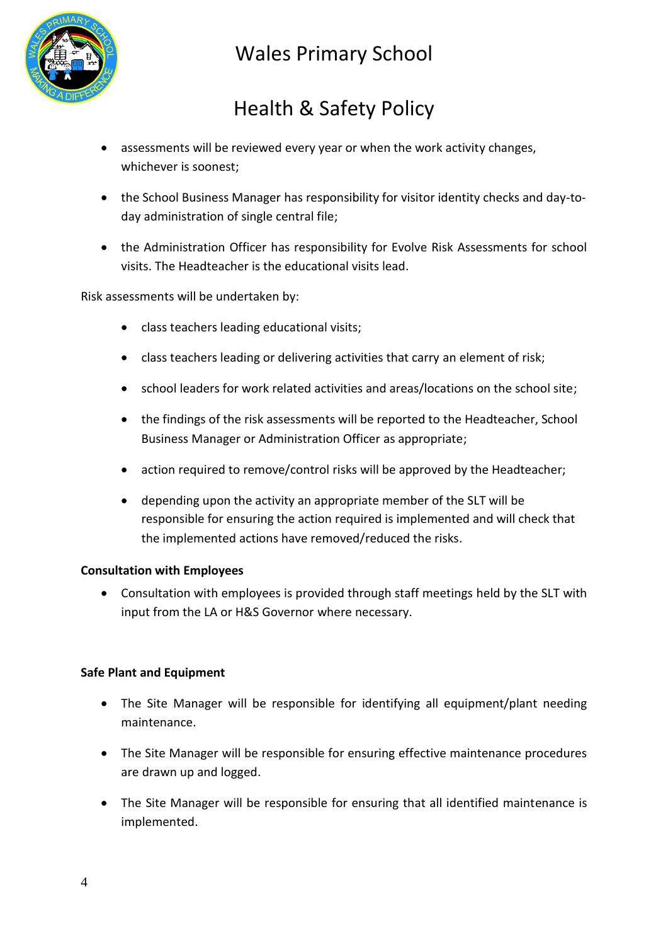

# Health & Safety Policy

- assessments will be reviewed every year or when the work activity changes, whichever is soonest;
- the School Business Manager has responsibility for visitor identity checks and day-today administration of single central file;
- the Administration Officer has responsibility for Evolve Risk Assessments for school visits. The Headteacher is the educational visits lead.

Risk assessments will be undertaken by:

- class teachers leading educational visits;
- class teachers leading or delivering activities that carry an element of risk;
- school leaders for work related activities and areas/locations on the school site;
- the findings of the risk assessments will be reported to the Headteacher, School Business Manager or Administration Officer as appropriate;
- action required to remove/control risks will be approved by the Headteacher;
- depending upon the activity an appropriate member of the SLT will be responsible for ensuring the action required is implemented and will check that the implemented actions have removed/reduced the risks.

#### **Consultation with Employees**

 Consultation with employees is provided through staff meetings held by the SLT with input from the LA or H&S Governor where necessary.

#### **Safe Plant and Equipment**

- The Site Manager will be responsible for identifying all equipment/plant needing maintenance.
- The Site Manager will be responsible for ensuring effective maintenance procedures are drawn up and logged.
- The Site Manager will be responsible for ensuring that all identified maintenance is implemented.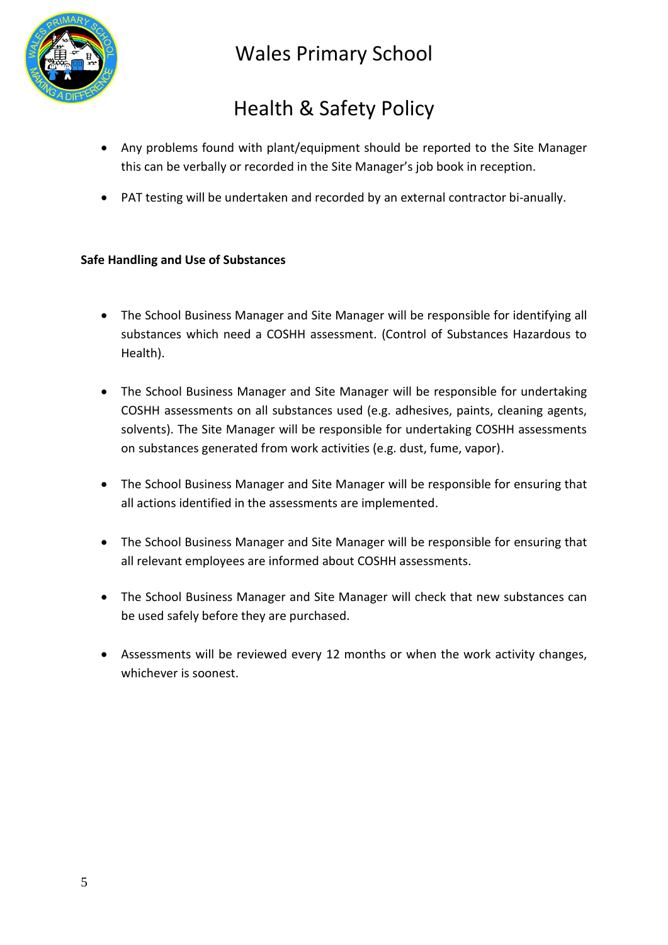

# Health & Safety Policy

- Any problems found with plant/equipment should be reported to the Site Manager this can be verbally or recorded in the Site Manager's job book in reception.
- PAT testing will be undertaken and recorded by an external contractor bi-anually.

### **Safe Handling and Use of Substances**

- The School Business Manager and Site Manager will be responsible for identifying all substances which need a COSHH assessment. (Control of Substances Hazardous to Health).
- The School Business Manager and Site Manager will be responsible for undertaking COSHH assessments on all substances used (e.g. adhesives, paints, cleaning agents, solvents). The Site Manager will be responsible for undertaking COSHH assessments on substances generated from work activities (e.g. dust, fume, vapor).
- The School Business Manager and Site Manager will be responsible for ensuring that all actions identified in the assessments are implemented.
- The School Business Manager and Site Manager will be responsible for ensuring that all relevant employees are informed about COSHH assessments.
- The School Business Manager and Site Manager will check that new substances can be used safely before they are purchased.
- Assessments will be reviewed every 12 months or when the work activity changes, whichever is soonest.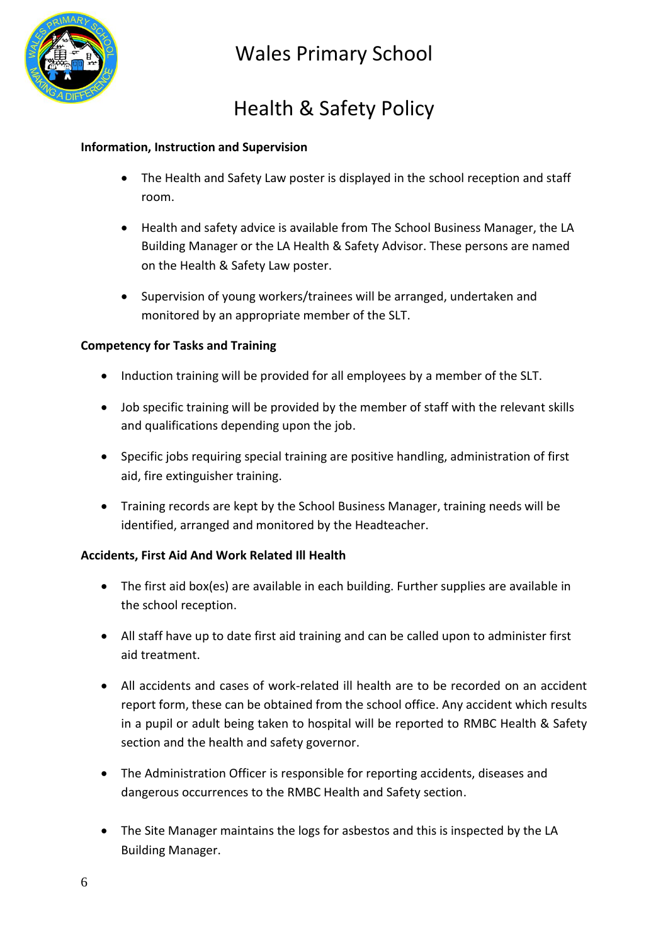

# Health & Safety Policy

#### **Information, Instruction and Supervision**

- The Health and Safety Law poster is displayed in the school reception and staff room.
- Health and safety advice is available from The School Business Manager, the LA Building Manager or the LA Health & Safety Advisor. These persons are named on the Health & Safety Law poster.
- Supervision of young workers/trainees will be arranged, undertaken and monitored by an appropriate member of the SLT.

### **Competency for Tasks and Training**

- Induction training will be provided for all employees by a member of the SLT.
- Job specific training will be provided by the member of staff with the relevant skills and qualifications depending upon the job.
- Specific jobs requiring special training are positive handling, administration of first aid, fire extinguisher training.
- Training records are kept by the School Business Manager, training needs will be identified, arranged and monitored by the Headteacher.

### **Accidents, First Aid And Work Related Ill Health**

- The first aid box(es) are available in each building. Further supplies are available in the school reception.
- All staff have up to date first aid training and can be called upon to administer first aid treatment.
- All accidents and cases of work-related ill health are to be recorded on an accident report form, these can be obtained from the school office. Any accident which results in a pupil or adult being taken to hospital will be reported to RMBC Health & Safety section and the health and safety governor.
- The Administration Officer is responsible for reporting accidents, diseases and dangerous occurrences to the RMBC Health and Safety section.
- The Site Manager maintains the logs for asbestos and this is inspected by the LA Building Manager.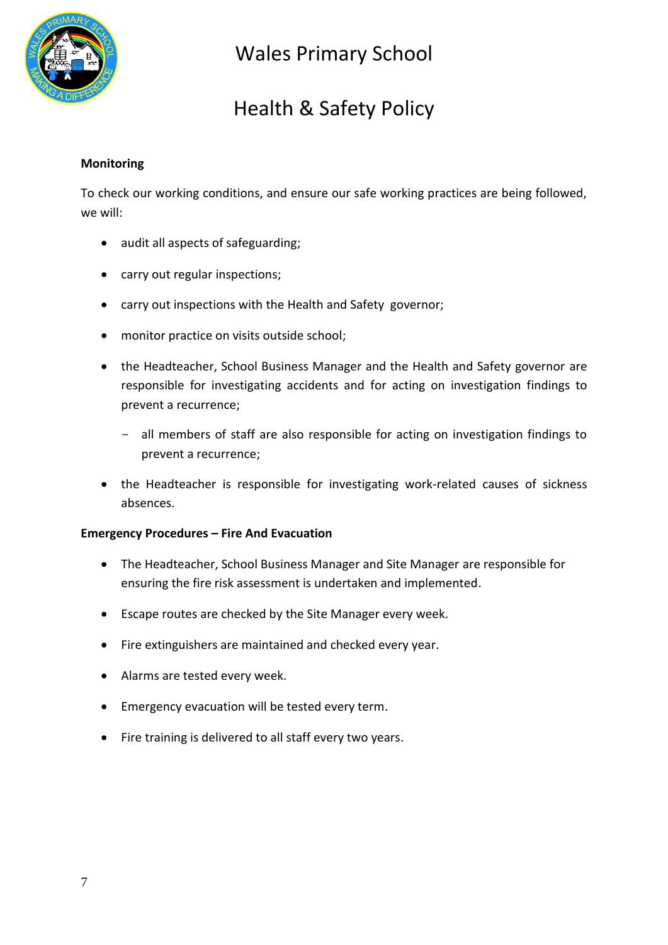

### Health & Safety Policy

### **Monitoring**

To check our working conditions, and ensure our safe working practices are being followed, we will:

- audit all aspects of safeguarding;
- carry out regular inspections;
- carry out inspections with the Health and Safety governor;
- monitor practice on visits outside school;
- the Headteacher, School Business Manager and the Health and Safety governor are responsible for investigating accidents and for acting on investigation findings to prevent a recurrence;
	- all members of staff are also responsible for acting on investigation findings to prevent a recurrence;
- the Headteacher is responsible for investigating work-related causes of sickness absences.

#### **Emergency Procedures – Fire And Evacuation**

- The Headteacher, School Business Manager and Site Manager are responsible for ensuring the fire risk assessment is undertaken and implemented.
- Escape routes are checked by the Site Manager every week.
- Fire extinguishers are maintained and checked every year.
- Alarms are tested every week.
- Emergency evacuation will be tested every term.
- Fire training is delivered to all staff every two years.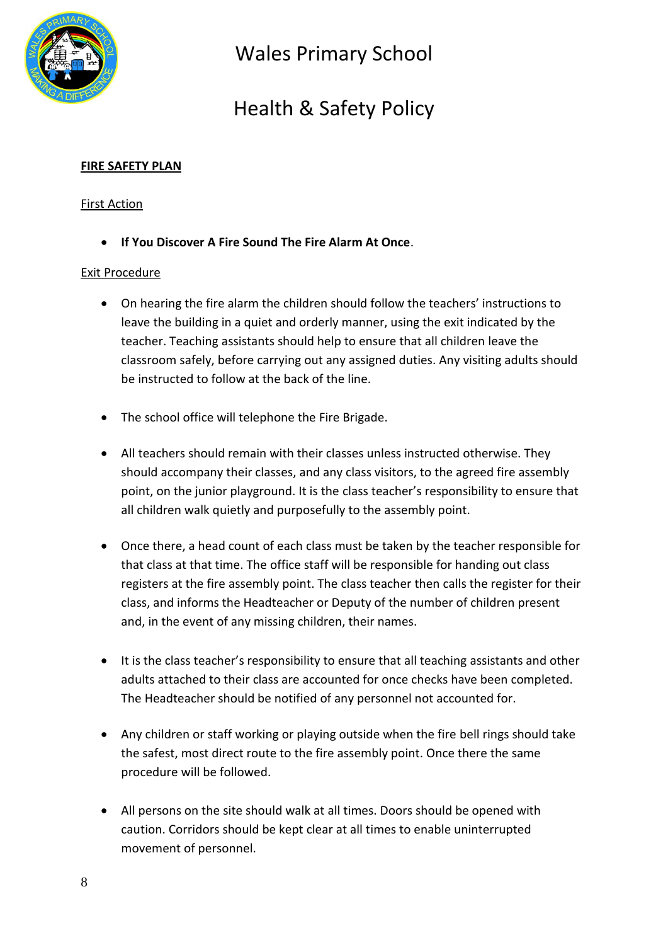

# Health & Safety Policy

### **FIRE SAFETY PLAN**

### First Action

**If You Discover A Fire Sound The Fire Alarm At Once**.

#### Exit Procedure

- On hearing the fire alarm the children should follow the teachers' instructions to leave the building in a quiet and orderly manner, using the exit indicated by the teacher. Teaching assistants should help to ensure that all children leave the classroom safely, before carrying out any assigned duties. Any visiting adults should be instructed to follow at the back of the line.
- The school office will telephone the Fire Brigade.
- All teachers should remain with their classes unless instructed otherwise. They should accompany their classes, and any class visitors, to the agreed fire assembly point, on the junior playground. It is the class teacher's responsibility to ensure that all children walk quietly and purposefully to the assembly point.
- Once there, a head count of each class must be taken by the teacher responsible for that class at that time. The office staff will be responsible for handing out class registers at the fire assembly point. The class teacher then calls the register for their class, and informs the Headteacher or Deputy of the number of children present and, in the event of any missing children, their names.
- It is the class teacher's responsibility to ensure that all teaching assistants and other adults attached to their class are accounted for once checks have been completed. The Headteacher should be notified of any personnel not accounted for.
- Any children or staff working or playing outside when the fire bell rings should take the safest, most direct route to the fire assembly point. Once there the same procedure will be followed.
- All persons on the site should walk at all times. Doors should be opened with caution. Corridors should be kept clear at all times to enable uninterrupted movement of personnel.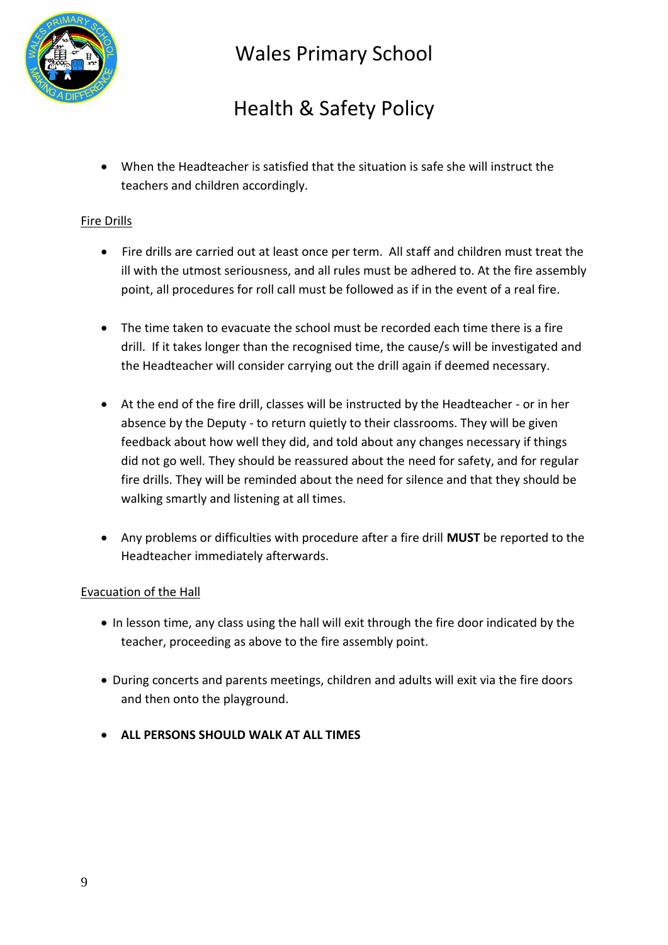

# Health & Safety Policy

 When the Headteacher is satisfied that the situation is safe she will instruct the teachers and children accordingly.

### Fire Drills

- Fire drills are carried out at least once per term. All staff and children must treat the ill with the utmost seriousness, and all rules must be adhered to. At the fire assembly point, all procedures for roll call must be followed as if in the event of a real fire.
- The time taken to evacuate the school must be recorded each time there is a fire drill. If it takes longer than the recognised time, the cause/s will be investigated and the Headteacher will consider carrying out the drill again if deemed necessary.
- At the end of the fire drill, classes will be instructed by the Headteacher or in her absence by the Deputy - to return quietly to their classrooms. They will be given feedback about how well they did, and told about any changes necessary if things did not go well. They should be reassured about the need for safety, and for regular fire drills. They will be reminded about the need for silence and that they should be walking smartly and listening at all times.
- Any problems or difficulties with procedure after a fire drill **MUST** be reported to the Headteacher immediately afterwards.

### Evacuation of the Hall

- In lesson time, any class using the hall will exit through the fire door indicated by the teacher, proceeding as above to the fire assembly point.
- During concerts and parents meetings, children and adults will exit via the fire doors and then onto the playground.
- **ALL PERSONS SHOULD WALK AT ALL TIMES**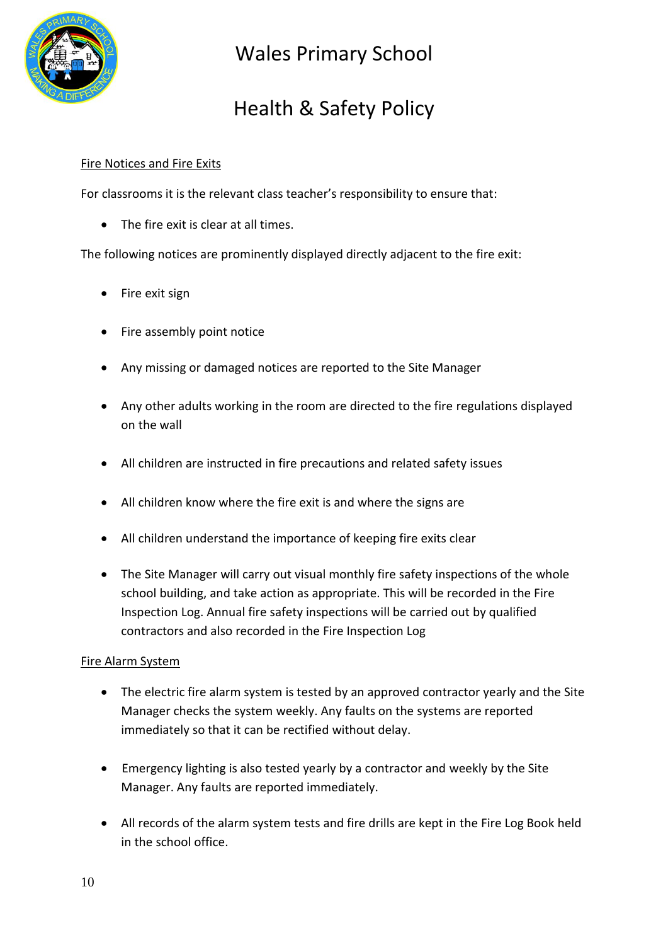

# Health & Safety Policy

### Fire Notices and Fire Exits

For classrooms it is the relevant class teacher's responsibility to ensure that:

• The fire exit is clear at all times.

The following notices are prominently displayed directly adjacent to the fire exit:

- Fire exit sign
- Fire assembly point notice
- Any missing or damaged notices are reported to the Site Manager
- Any other adults working in the room are directed to the fire regulations displayed on the wall
- All children are instructed in fire precautions and related safety issues
- All children know where the fire exit is and where the signs are
- All children understand the importance of keeping fire exits clear
- The Site Manager will carry out visual monthly fire safety inspections of the whole school building, and take action as appropriate. This will be recorded in the Fire Inspection Log. Annual fire safety inspections will be carried out by qualified contractors and also recorded in the Fire Inspection Log

#### Fire Alarm System

- The electric fire alarm system is tested by an approved contractor yearly and the Site Manager checks the system weekly. Any faults on the systems are reported immediately so that it can be rectified without delay.
- Emergency lighting is also tested yearly by a contractor and weekly by the Site Manager. Any faults are reported immediately.
- All records of the alarm system tests and fire drills are kept in the Fire Log Book held in the school office.